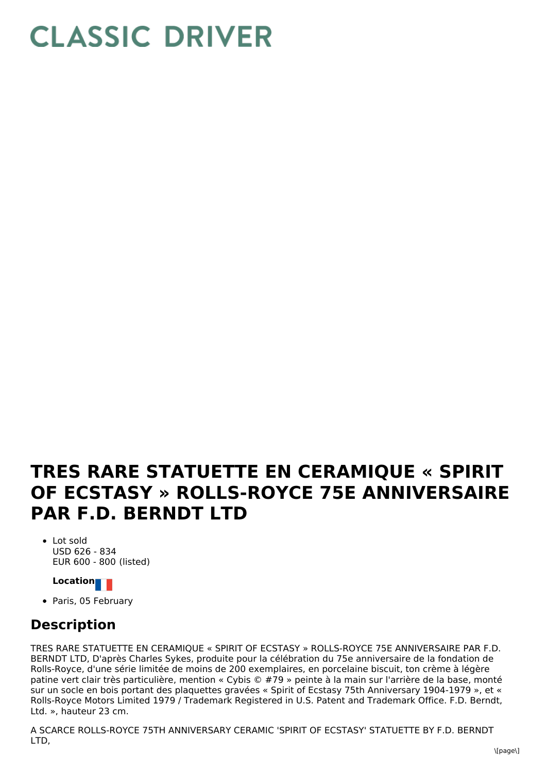## **CLASSIC DRIVER**

## **TRES RARE STATUETTE EN CERAMIQUE « SPIRIT OF ECSTASY » ROLLS-ROYCE 75E ANNIVERSAIRE PAR F.D. BERNDT LTD**

- Lot sold USD 626 - 834 EUR 600 - 800 (listed)
	- **Location**
- Paris, 05 February

## **Description**

TRES RARE STATUETTE EN CERAMIQUE « SPIRIT OF ECSTASY » ROLLS-ROYCE 75E ANNIVERSAIRE PAR F.D. BERNDT LTD, D'après Charles Sykes, produite pour la célébration du 75e anniversaire de la fondation de Rolls-Royce, d'une série limitée de moins de 200 exemplaires, en porcelaine biscuit, ton crème à légère patine vert clair très particulière, mention « Cybis © #79 » peinte à la main sur l'arrière de la base, monté sur un socle en bois portant des plaquettes gravées « Spirit of Ecstasy 75th Anniversary 1904-1979 », et « Rolls-Royce Motors Limited 1979 / Trademark Registered in U.S. Patent and Trademark Office. F.D. Berndt, Ltd. », hauteur 23 cm.

A SCARCE ROLLS-ROYCE 75TH ANNIVERSARY CERAMIC 'SPIRIT OF ECSTASY' STATUETTE BY F.D. BERNDT LTD,